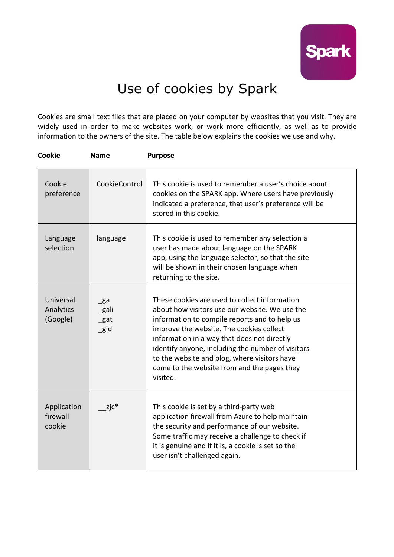

## Use of cookies by Spark

Cookies are small text files that are placed on your computer by websites that you visit. They are widely used in order to make websites work, or work more efficiently, as well as to provide information to the owners of the site. The table below explains the cookies we use and why.

| Cookie                             | <b>Name</b>                | <b>Purpose</b>                                                                                                                                                                                                                                                                                                                                                                                              |
|------------------------------------|----------------------------|-------------------------------------------------------------------------------------------------------------------------------------------------------------------------------------------------------------------------------------------------------------------------------------------------------------------------------------------------------------------------------------------------------------|
| Cookie<br>preference               | CookieControl              | This cookie is used to remember a user's choice about<br>cookies on the SPARK app. Where users have previously<br>indicated a preference, that user's preference will be<br>stored in this cookie.                                                                                                                                                                                                          |
| Language<br>selection              | language                   | This cookie is used to remember any selection a<br>user has made about language on the SPARK<br>app, using the language selector, so that the site<br>will be shown in their chosen language when<br>returning to the site.                                                                                                                                                                                 |
| Universal<br>Analytics<br>(Google) | _ga<br>_gali<br>gat<br>gid | These cookies are used to collect information<br>about how visitors use our website. We use the<br>information to compile reports and to help us<br>improve the website. The cookies collect<br>information in a way that does not directly<br>identify anyone, including the number of visitors<br>to the website and blog, where visitors have<br>come to the website from and the pages they<br>visited. |
| Application<br>firewall<br>cookie  | $zjc*$                     | This cookie is set by a third-party web<br>application firewall from Azure to help maintain<br>the security and performance of our website.<br>Some traffic may receive a challenge to check if<br>it is genuine and if it is, a cookie is set so the<br>user isn't challenged again.                                                                                                                       |